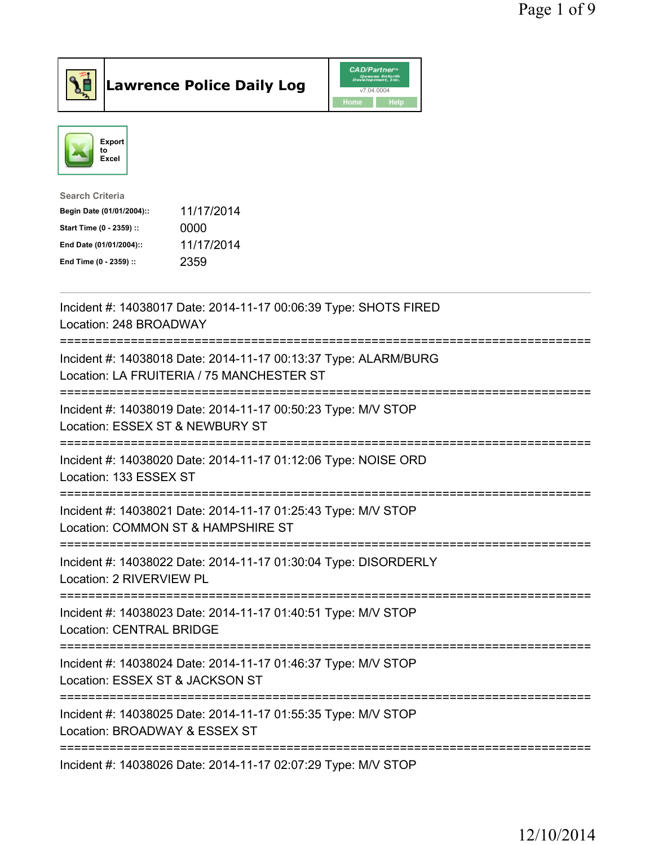



| <b>Search Criteria</b>    |            |
|---------------------------|------------|
| Begin Date (01/01/2004):: | 11/17/2014 |
| Start Time (0 - 2359) ::  | 0000       |
| End Date (01/01/2004)::   | 11/17/2014 |
| End Time (0 - 2359) ::    | 2359       |

| Incident #: 14038017 Date: 2014-11-17 00:06:39 Type: SHOTS FIRED<br>Location: 248 BROADWAY                   |
|--------------------------------------------------------------------------------------------------------------|
| Incident #: 14038018 Date: 2014-11-17 00:13:37 Type: ALARM/BURG<br>Location: LA FRUITERIA / 75 MANCHESTER ST |
| Incident #: 14038019 Date: 2014-11-17 00:50:23 Type: M/V STOP<br>Location: ESSEX ST & NEWBURY ST             |
| Incident #: 14038020 Date: 2014-11-17 01:12:06 Type: NOISE ORD<br>Location: 133 ESSEX ST                     |
| Incident #: 14038021 Date: 2014-11-17 01:25:43 Type: M/V STOP<br>Location: COMMON ST & HAMPSHIRE ST          |
| Incident #: 14038022 Date: 2014-11-17 01:30:04 Type: DISORDERLY<br>Location: 2 RIVERVIEW PL                  |
| Incident #: 14038023 Date: 2014-11-17 01:40:51 Type: M/V STOP<br><b>Location: CENTRAL BRIDGE</b>             |
| Incident #: 14038024 Date: 2014-11-17 01:46:37 Type: M/V STOP<br>Location: ESSEX ST & JACKSON ST             |
| Incident #: 14038025 Date: 2014-11-17 01:55:35 Type: M/V STOP<br>Location: BROADWAY & ESSEX ST               |
| -----------------------<br>------------<br>Incident #: 14038026 Date: 2014-11-17 02:07:29 Type: M/V STOP     |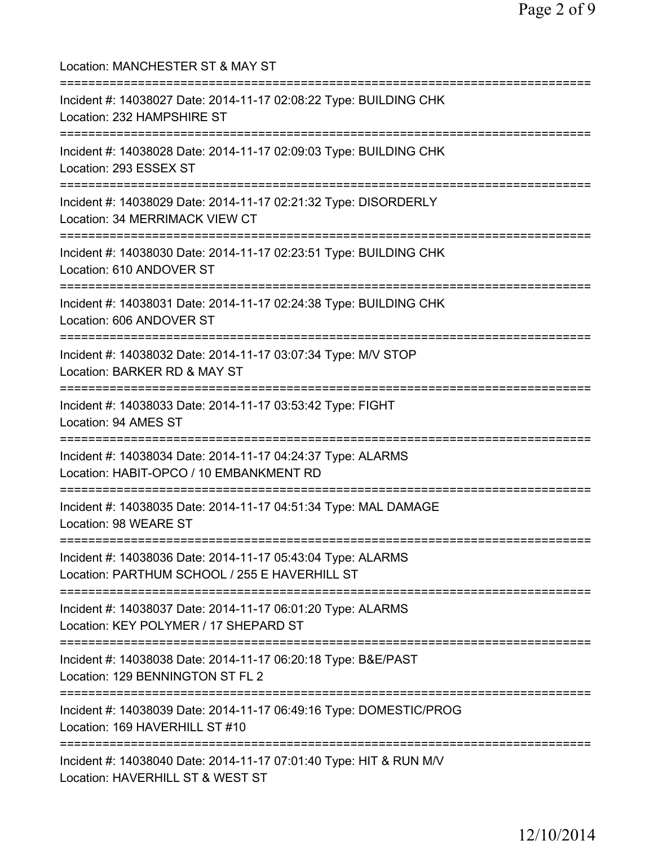| Location: MANCHESTER ST & MAY ST                                                                                                        |
|-----------------------------------------------------------------------------------------------------------------------------------------|
| Incident #: 14038027 Date: 2014-11-17 02:08:22 Type: BUILDING CHK<br>Location: 232 HAMPSHIRE ST                                         |
| Incident #: 14038028 Date: 2014-11-17 02:09:03 Type: BUILDING CHK<br>Location: 293 ESSEX ST<br>-------------------------                |
| ==================================<br>Incident #: 14038029 Date: 2014-11-17 02:21:32 Type: DISORDERLY<br>Location: 34 MERRIMACK VIEW CT |
| Incident #: 14038030 Date: 2014-11-17 02:23:51 Type: BUILDING CHK<br>Location: 610 ANDOVER ST                                           |
| ;==================================<br>Incident #: 14038031 Date: 2014-11-17 02:24:38 Type: BUILDING CHK<br>Location: 606 ANDOVER ST    |
| Incident #: 14038032 Date: 2014-11-17 03:07:34 Type: M/V STOP<br>Location: BARKER RD & MAY ST                                           |
| Incident #: 14038033 Date: 2014-11-17 03:53:42 Type: FIGHT<br>Location: 94 AMES ST                                                      |
| Incident #: 14038034 Date: 2014-11-17 04:24:37 Type: ALARMS<br>Location: HABIT-OPCO / 10 EMBANKMENT RD                                  |
| =============================<br>Incident #: 14038035 Date: 2014-11-17 04:51:34 Type: MAL DAMAGE<br>Location: 98 WEARE ST               |
| Incident #: 14038036 Date: 2014-11-17 05:43:04 Type: ALARMS<br>Location: PARTHUM SCHOOL / 255 E HAVERHILL ST                            |
| Incident #: 14038037 Date: 2014-11-17 06:01:20 Type: ALARMS<br>Location: KEY POLYMER / 17 SHEPARD ST                                    |
| Incident #: 14038038 Date: 2014-11-17 06:20:18 Type: B&E/PAST<br>Location: 129 BENNINGTON ST FL 2                                       |
| Incident #: 14038039 Date: 2014-11-17 06:49:16 Type: DOMESTIC/PROG<br>Location: 169 HAVERHILL ST #10                                    |
| Incident #: 14038040 Date: 2014-11-17 07:01:40 Type: HIT & RUN M/V<br>Location: HAVERHILL ST & WEST ST                                  |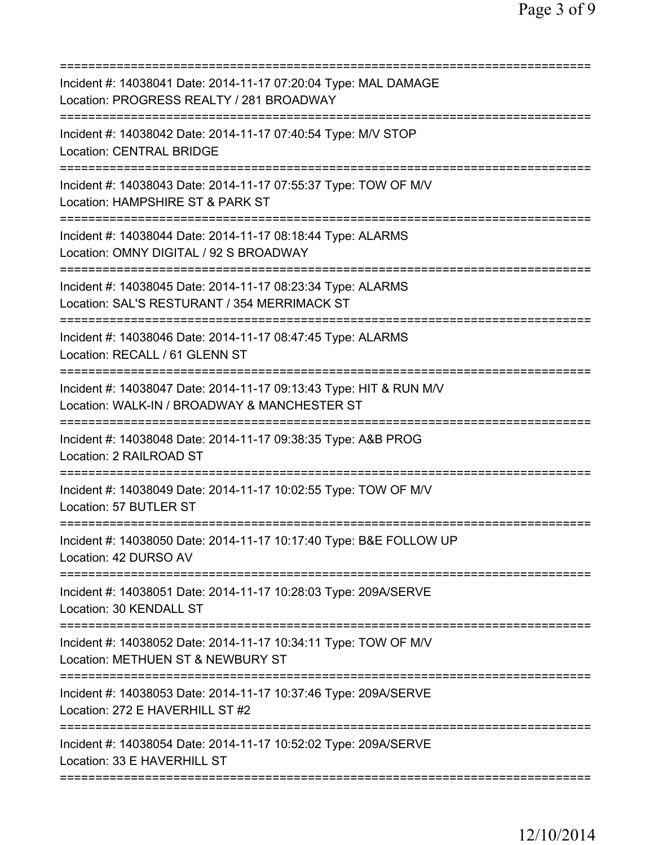| Incident #: 14038041 Date: 2014-11-17 07:20:04 Type: MAL DAMAGE<br>Location: PROGRESS REALTY / 281 BROADWAY                   |
|-------------------------------------------------------------------------------------------------------------------------------|
| Incident #: 14038042 Date: 2014-11-17 07:40:54 Type: M/V STOP<br><b>Location: CENTRAL BRIDGE</b>                              |
| Incident #: 14038043 Date: 2014-11-17 07:55:37 Type: TOW OF M/V<br>Location: HAMPSHIRE ST & PARK ST                           |
| Incident #: 14038044 Date: 2014-11-17 08:18:44 Type: ALARMS<br>Location: OMNY DIGITAL / 92 S BROADWAY                         |
| Incident #: 14038045 Date: 2014-11-17 08:23:34 Type: ALARMS<br>Location: SAL'S RESTURANT / 354 MERRIMACK ST                   |
| Incident #: 14038046 Date: 2014-11-17 08:47:45 Type: ALARMS<br>Location: RECALL / 61 GLENN ST                                 |
| Incident #: 14038047 Date: 2014-11-17 09:13:43 Type: HIT & RUN M/V<br>Location: WALK-IN / BROADWAY & MANCHESTER ST            |
| Incident #: 14038048 Date: 2014-11-17 09:38:35 Type: A&B PROG<br>Location: 2 RAILROAD ST<br>--------------------------------- |
| Incident #: 14038049 Date: 2014-11-17 10:02:55 Type: TOW OF M/V<br>Location: 57 BUTLER ST                                     |
| Incident #: 14038050 Date: 2014-11-17 10:17:40 Type: B&E FOLLOW UP<br>Location: 42 DURSO AV                                   |
| Incident #: 14038051 Date: 2014-11-17 10:28:03 Type: 209A/SERVE<br>Location: 30 KENDALL ST                                    |
| Incident #: 14038052 Date: 2014-11-17 10:34:11 Type: TOW OF M/V<br>Location: METHUEN ST & NEWBURY ST                          |
| Incident #: 14038053 Date: 2014-11-17 10:37:46 Type: 209A/SERVE<br>Location: 272 E HAVERHILL ST #2                            |
| Incident #: 14038054 Date: 2014-11-17 10:52:02 Type: 209A/SERVE<br>Location: 33 E HAVERHILL ST                                |
|                                                                                                                               |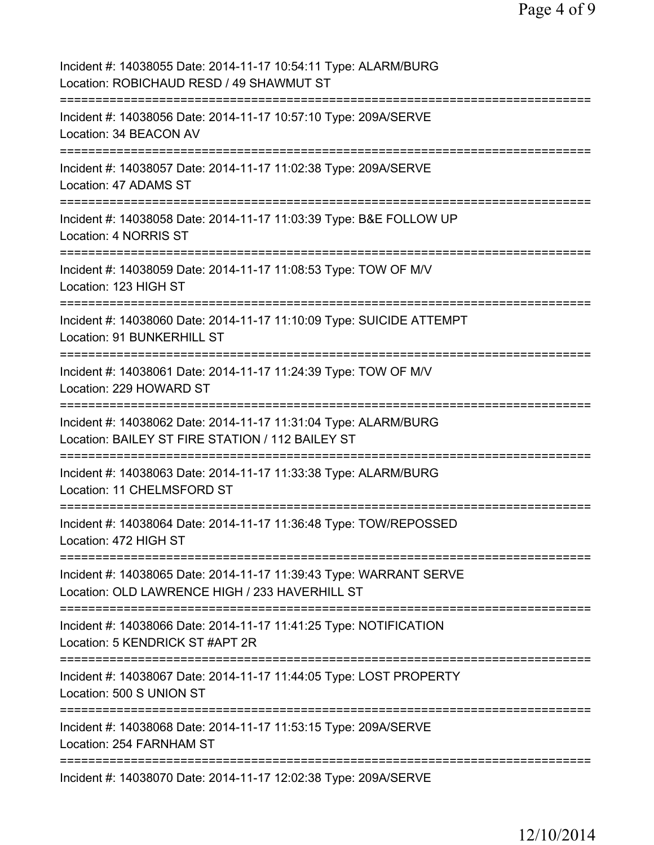| Incident #: 14038055 Date: 2014-11-17 10:54:11 Type: ALARM/BURG<br>Location: ROBICHAUD RESD / 49 SHAWMUT ST                      |
|----------------------------------------------------------------------------------------------------------------------------------|
| Incident #: 14038056 Date: 2014-11-17 10:57:10 Type: 209A/SERVE<br>Location: 34 BEACON AV                                        |
| Incident #: 14038057 Date: 2014-11-17 11:02:38 Type: 209A/SERVE<br>Location: 47 ADAMS ST                                         |
| Incident #: 14038058 Date: 2014-11-17 11:03:39 Type: B&E FOLLOW UP<br>Location: 4 NORRIS ST                                      |
| Incident #: 14038059 Date: 2014-11-17 11:08:53 Type: TOW OF M/V<br>Location: 123 HIGH ST                                         |
| Incident #: 14038060 Date: 2014-11-17 11:10:09 Type: SUICIDE ATTEMPT<br>Location: 91 BUNKERHILL ST                               |
| Incident #: 14038061 Date: 2014-11-17 11:24:39 Type: TOW OF M/V<br>Location: 229 HOWARD ST<br>================================== |
| Incident #: 14038062 Date: 2014-11-17 11:31:04 Type: ALARM/BURG<br>Location: BAILEY ST FIRE STATION / 112 BAILEY ST              |
| Incident #: 14038063 Date: 2014-11-17 11:33:38 Type: ALARM/BURG<br>Location: 11 CHELMSFORD ST                                    |
| Incident #: 14038064 Date: 2014-11-17 11:36:48 Type: TOW/REPOSSED<br>Location: 472 HIGH ST                                       |
| Incident #: 14038065 Date: 2014-11-17 11:39:43 Type: WARRANT SERVE<br>Location: OLD LAWRENCE HIGH / 233 HAVERHILL ST             |
| Incident #: 14038066 Date: 2014-11-17 11:41:25 Type: NOTIFICATION<br>Location: 5 KENDRICK ST #APT 2R                             |
| Incident #: 14038067 Date: 2014-11-17 11:44:05 Type: LOST PROPERTY<br>Location: 500 S UNION ST                                   |
| Incident #: 14038068 Date: 2014-11-17 11:53:15 Type: 209A/SERVE<br>Location: 254 FARNHAM ST                                      |
| Incident #: 14038070 Date: 2014-11-17 12:02:38 Type: 209A/SERVE                                                                  |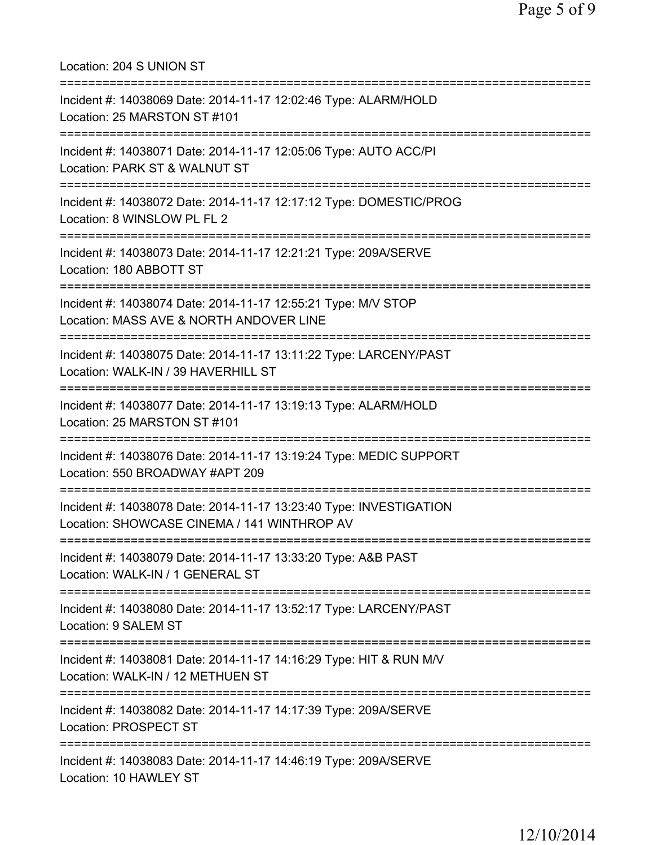| Location: 204 S UNION ST                                                                                                        |
|---------------------------------------------------------------------------------------------------------------------------------|
| Incident #: 14038069 Date: 2014-11-17 12:02:46 Type: ALARM/HOLD<br>Location: 25 MARSTON ST #101                                 |
| Incident #: 14038071 Date: 2014-11-17 12:05:06 Type: AUTO ACC/PI<br>Location: PARK ST & WALNUT ST<br>.========================= |
| Incident #: 14038072 Date: 2014-11-17 12:17:12 Type: DOMESTIC/PROG<br>Location: 8 WINSLOW PL FL 2                               |
| Incident #: 14038073 Date: 2014-11-17 12:21:21 Type: 209A/SERVE<br>Location: 180 ABBOTT ST                                      |
| Incident #: 14038074 Date: 2014-11-17 12:55:21 Type: M/V STOP<br>Location: MASS AVE & NORTH ANDOVER LINE                        |
| Incident #: 14038075 Date: 2014-11-17 13:11:22 Type: LARCENY/PAST<br>Location: WALK-IN / 39 HAVERHILL ST                        |
| Incident #: 14038077 Date: 2014-11-17 13:19:13 Type: ALARM/HOLD<br>Location: 25 MARSTON ST #101                                 |
| Incident #: 14038076 Date: 2014-11-17 13:19:24 Type: MEDIC SUPPORT<br>Location: 550 BROADWAY #APT 209                           |
| Incident #: 14038078 Date: 2014-11-17 13:23:40 Type: INVESTIGATION<br>Location: SHOWCASE CINEMA / 141 WINTHROP AV               |
| Incident #: 14038079 Date: 2014-11-17 13:33:20 Type: A&B PAST<br>Location: WALK-IN / 1 GENERAL ST                               |
| Incident #: 14038080 Date: 2014-11-17 13:52:17 Type: LARCENY/PAST<br>Location: 9 SALEM ST                                       |
| Incident #: 14038081 Date: 2014-11-17 14:16:29 Type: HIT & RUN M/V<br>Location: WALK-IN / 12 METHUEN ST                         |
| Incident #: 14038082 Date: 2014-11-17 14:17:39 Type: 209A/SERVE<br>Location: PROSPECT ST                                        |
| Incident #: 14038083 Date: 2014-11-17 14:46:19 Type: 209A/SERVE<br>Location: 10 HAWLEY ST                                       |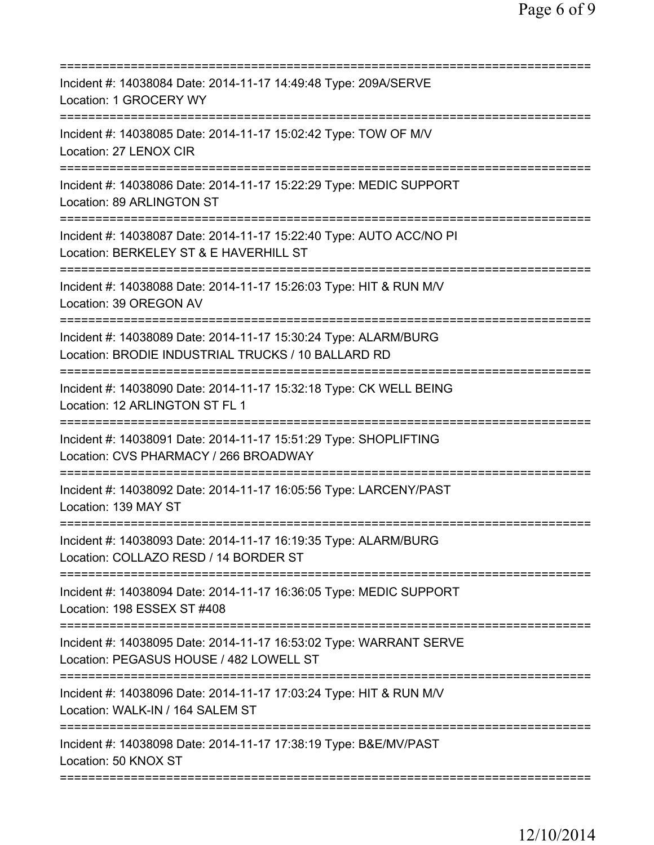| Incident #: 14038084 Date: 2014-11-17 14:49:48 Type: 209A/SERVE<br>Location: 1 GROCERY WY<br>===================                                                |
|-----------------------------------------------------------------------------------------------------------------------------------------------------------------|
| Incident #: 14038085 Date: 2014-11-17 15:02:42 Type: TOW OF M/V<br>Location: 27 LENOX CIR                                                                       |
| Incident #: 14038086 Date: 2014-11-17 15:22:29 Type: MEDIC SUPPORT<br>Location: 89 ARLINGTON ST                                                                 |
| Incident #: 14038087 Date: 2014-11-17 15:22:40 Type: AUTO ACC/NO PI<br>Location: BERKELEY ST & E HAVERHILL ST                                                   |
| ----------------------<br>Incident #: 14038088 Date: 2014-11-17 15:26:03 Type: HIT & RUN M/V<br>Location: 39 OREGON AV                                          |
| ======================================<br>Incident #: 14038089 Date: 2014-11-17 15:30:24 Type: ALARM/BURG<br>Location: BRODIE INDUSTRIAL TRUCKS / 10 BALLARD RD |
| =============================<br>Incident #: 14038090 Date: 2014-11-17 15:32:18 Type: CK WELL BEING<br>Location: 12 ARLINGTON ST FL 1                           |
| Incident #: 14038091 Date: 2014-11-17 15:51:29 Type: SHOPLIFTING<br>Location: CVS PHARMACY / 266 BROADWAY<br>================================                   |
| Incident #: 14038092 Date: 2014-11-17 16:05:56 Type: LARCENY/PAST<br>Location: 139 MAY ST                                                                       |
| Incident #: 14038093 Date: 2014-11-17 16:19:35 Type: ALARM/BURG<br>Location: COLLAZO RESD / 14 BORDER ST                                                        |
| Incident #: 14038094 Date: 2014-11-17 16:36:05 Type: MEDIC SUPPORT<br>Location: 198 ESSEX ST #408                                                               |
| Incident #: 14038095 Date: 2014-11-17 16:53:02 Type: WARRANT SERVE<br>Location: PEGASUS HOUSE / 482 LOWELL ST                                                   |
| Incident #: 14038096 Date: 2014-11-17 17:03:24 Type: HIT & RUN M/V<br>Location: WALK-IN / 164 SALEM ST                                                          |
| Incident #: 14038098 Date: 2014-11-17 17:38:19 Type: B&E/MV/PAST<br>Location: 50 KNOX ST                                                                        |
|                                                                                                                                                                 |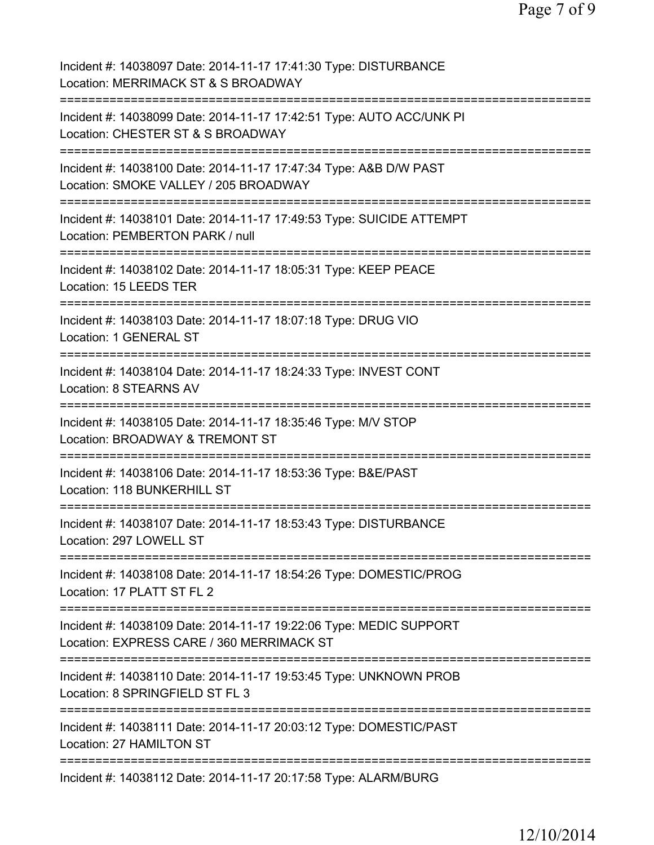| Incident #: 14038097 Date: 2014-11-17 17:41:30 Type: DISTURBANCE<br>Location: MERRIMACK ST & S BROADWAY                        |
|--------------------------------------------------------------------------------------------------------------------------------|
| Incident #: 14038099 Date: 2014-11-17 17:42:51 Type: AUTO ACC/UNK PI<br>Location: CHESTER ST & S BROADWAY                      |
| Incident #: 14038100 Date: 2014-11-17 17:47:34 Type: A&B D/W PAST<br>Location: SMOKE VALLEY / 205 BROADWAY                     |
| Incident #: 14038101 Date: 2014-11-17 17:49:53 Type: SUICIDE ATTEMPT<br>Location: PEMBERTON PARK / null                        |
| Incident #: 14038102 Date: 2014-11-17 18:05:31 Type: KEEP PEACE<br>Location: 15 LEEDS TER<br>================================= |
| Incident #: 14038103 Date: 2014-11-17 18:07:18 Type: DRUG VIO<br>Location: 1 GENERAL ST<br>==================================  |
| Incident #: 14038104 Date: 2014-11-17 18:24:33 Type: INVEST CONT<br>Location: 8 STEARNS AV                                     |
| Incident #: 14038105 Date: 2014-11-17 18:35:46 Type: M/V STOP<br>Location: BROADWAY & TREMONT ST<br>====================       |
| Incident #: 14038106 Date: 2014-11-17 18:53:36 Type: B&E/PAST<br>Location: 118 BUNKERHILL ST                                   |
| Incident #: 14038107 Date: 2014-11-17 18:53:43 Type: DISTURBANCE<br>Location: 297 LOWELL ST                                    |
| Incident #: 14038108 Date: 2014-11-17 18:54:26 Type: DOMESTIC/PROG<br>Location: 17 PLATT ST FL 2                               |
| Incident #: 14038109 Date: 2014-11-17 19:22:06 Type: MEDIC SUPPORT<br>Location: EXPRESS CARE / 360 MERRIMACK ST                |
| Incident #: 14038110 Date: 2014-11-17 19:53:45 Type: UNKNOWN PROB<br>Location: 8 SPRINGFIELD ST FL 3                           |
| ============<br>Incident #: 14038111 Date: 2014-11-17 20:03:12 Type: DOMESTIC/PAST<br>Location: 27 HAMILTON ST                 |
| =====================================<br>Incident #: 14038112 Date: 2014-11-17 20:17:58 Type: ALARM/BURG                       |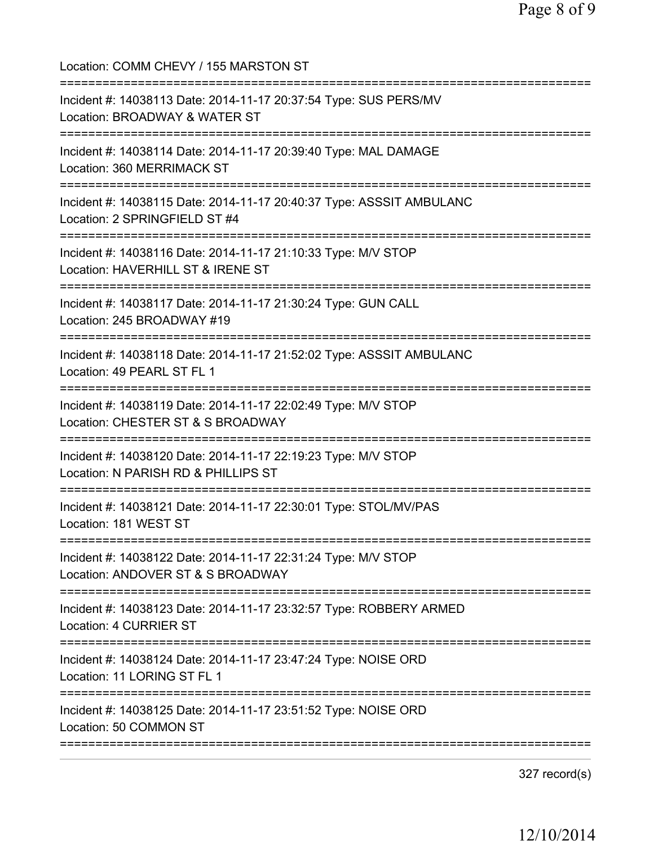Location: COMM CHEVY / 155 MARSTON ST =========================================================================== Incident #: 14038113 Date: 2014-11-17 20:37:54 Type: SUS PERS/MV Location: BROADWAY & WATER ST =========================================================================== Incident #: 14038114 Date: 2014-11-17 20:39:40 Type: MAL DAMAGE Location: 360 MERRIMACK ST =========================================================================== Incident #: 14038115 Date: 2014-11-17 20:40:37 Type: ASSSIT AMBULANC Location: 2 SPRINGFIELD ST #4 =========================================================================== Incident #: 14038116 Date: 2014-11-17 21:10:33 Type: M/V STOP Location: HAVERHILL ST & IRENE ST =========================================================================== Incident #: 14038117 Date: 2014-11-17 21:30:24 Type: GUN CALL Location: 245 BROADWAY #19 =========================================================================== Incident #: 14038118 Date: 2014-11-17 21:52:02 Type: ASSSIT AMBULANC Location: 49 PEARL ST FL 1 =========================================================================== Incident #: 14038119 Date: 2014-11-17 22:02:49 Type: M/V STOP Location: CHESTER ST & S BROADWAY =========================================================================== Incident #: 14038120 Date: 2014-11-17 22:19:23 Type: M/V STOP Location: N PARISH RD & PHILLIPS ST =========================================================================== Incident #: 14038121 Date: 2014-11-17 22:30:01 Type: STOL/MV/PAS Location: 181 WEST ST =========================================================================== Incident #: 14038122 Date: 2014-11-17 22:31:24 Type: M/V STOP Location: ANDOVER ST & S BROADWAY =========================================================================== Incident #: 14038123 Date: 2014-11-17 23:32:57 Type: ROBBERY ARMED Location: 4 CURRIER ST =========================================================================== Incident #: 14038124 Date: 2014-11-17 23:47:24 Type: NOISE ORD Location: 11 LORING ST FL 1 =========================================================================== Incident #: 14038125 Date: 2014-11-17 23:51:52 Type: NOISE ORD Location: 50 COMMON ST ===========================================================================

327 record(s)